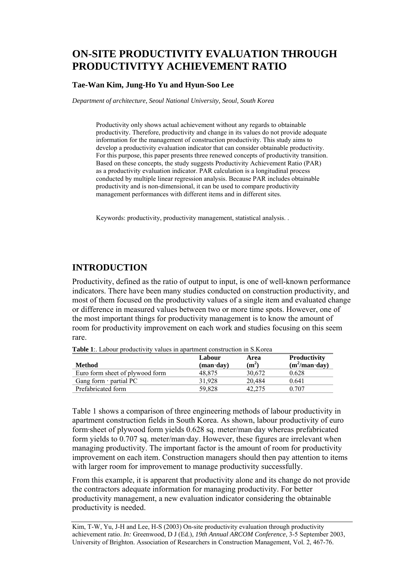# **ON-SITE PRODUCTIVITY EVALUATION THROUGH PRODUCTIVITYY ACHIEVEMENT RATIO**

### **Tae-Wan Kim, Jung-Ho Yu and Hyun-Soo Lee**

*Department of architecture, Seoul National University, Seoul, South Korea* 

Productivity only shows actual achievement without any regards to obtainable productivity. Therefore, productivity and change in its values do not provide adequate information for the management of construction productivity. This study aims to develop a productivity evaluation indicator that can consider obtainable productivity. For this purpose, this paper presents three renewed concepts of productivity transition. Based on these concepts, the study suggests Productivity Achievement Ratio (PAR) as a productivity evaluation indicator. PAR calculation is a longitudinal process conducted by multiple linear regression analysis. Because PAR includes obtainable productivity and is non-dimensional, it can be used to compare productivity management performances with different items and in different sites.

Keywords: productivity, productivity management, statistical analysis. .

## **INTRODUCTION**

Productivity, defined as the ratio of output to input, is one of well-known performance indicators. There have been many studies conducted on construction productivity, and most of them focused on the productivity values of a single item and evaluated change or difference in measured values between two or more time spots. However, one of the most important things for productivity management is to know the amount of room for productivity improvement on each work and studies focusing on this seem rare.

| <b>Table 1</b> : Labour productivity values in apartment construction in S. Korea |  |
|-----------------------------------------------------------------------------------|--|
|-----------------------------------------------------------------------------------|--|

|                                 | Labour                            | Area    | <b>Productivity</b>   |
|---------------------------------|-----------------------------------|---------|-----------------------|
| <b>Method</b>                   | $(\mathbf{man}\cdot\mathbf{day})$ | $(m^2)$ | $(m^2/man \cdot day)$ |
| Euro form sheet of plywood form | 48.875                            | 30.672  | 0.628                 |
| Gang form $\cdot$ partial PC    | 31.928                            | 20.484  | 0.641                 |
| Prefabricated form              | 59.828                            | 42.275  | 0.707                 |

Table 1 shows a comparison of three engineering methods of labour productivity in apartment construction fields in South Korea. As shown, labour productivity of euro form·sheet of plywood form yields 0.628 sq. meter/man·day whereas prefabricated form yields to 0.707 sq. meter/man·day. However, these figures are irrelevant when managing productivity. The important factor is the amount of room for productivity improvement on each item. Construction managers should then pay attention to items with larger room for improvement to manage productivity successfully.

From this example, it is apparent that productivity alone and its change do not provide the contractors adequate information for managing productivity. For better productivity management, a new evaluation indicator considering the obtainable productivity is needed.

Kim, T-W, Yu, J-H and Lee, H-S (2003) On-site productivity evaluation through productivity achievement ratio. *In:* Greenwood, D J (Ed.), *19th Annual ARCOM Conference*, 3-5 September 2003, University of Brighton. Association of Researchers in Construction Management, Vol. 2, 467-76.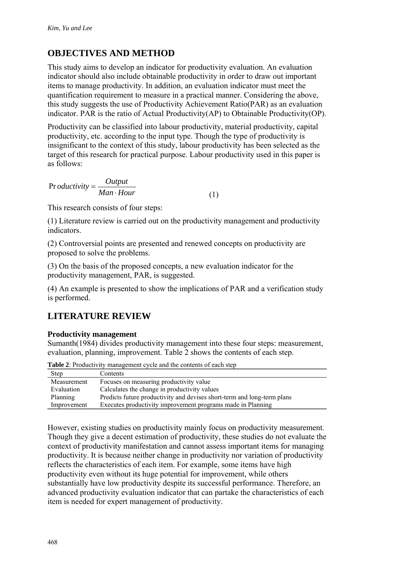# **OBJECTIVES AND METHOD**

This study aims to develop an indicator for productivity evaluation. An evaluation indicator should also include obtainable productivity in order to draw out important items to manage productivity. In addition, an evaluation indicator must meet the quantification requirement to measure in a practical manner. Considering the above, this study suggests the use of Productivity Achievement Ratio(PAR) as an evaluation indicator. PAR is the ratio of Actual Productivity(AP) to Obtainable Productivity(OP).

Productivity can be classified into labour productivity, material productivity, capital productivity, etc. according to the input type. Though the type of productivity is insignificant to the context of this study, labour productivity has been selected as the target of this research for practical purpose. Labour productivity used in this paper is as follows:

 $\Pr{oductivity} = \frac{Output}{Man \cdot Hour}$  (1)

This research consists of four steps:

(1) Literature review is carried out on the productivity management and productivity indicators.

(2) Controversial points are presented and renewed concepts on productivity are proposed to solve the problems.

(3) On the basis of the proposed concepts, a new evaluation indicator for the productivity management, PAR, is suggested.

(4) An example is presented to show the implications of PAR and a verification study is performed.

# **LITERATURE REVIEW**

## **Productivity management**

Sumanth(1984) divides productivity management into these four steps: measurement, evaluation, planning, improvement. Table 2 shows the contents of each step.

| <b>Table 2.</b> I Foundly to management eyere and the contents of each step |                                                                         |  |
|-----------------------------------------------------------------------------|-------------------------------------------------------------------------|--|
| <b>Step</b>                                                                 | Contents                                                                |  |
| Measurement                                                                 | Focuses on measuring productivity value                                 |  |
| Evaluation                                                                  | Calculates the change in productivity values                            |  |
| Planning                                                                    | Predicts future productivity and devises short-term and long-term plans |  |
| Improvement                                                                 | Executes productivity improvement programs made in Planning             |  |
|                                                                             |                                                                         |  |

**Table 2:** Productivity management cycle and the contents of each step

However, existing studies on productivity mainly focus on productivity measurement. Though they give a decent estimation of productivity, these studies do not evaluate the context of productivity manifestation and cannot assess important items for managing productivity. It is because neither change in productivity nor variation of productivity reflects the characteristics of each item. For example, some items have high productivity even without its huge potential for improvement, while others substantially have low productivity despite its successful performance. Therefore, an advanced productivity evaluation indicator that can partake the characteristics of each item is needed for expert management of productivity.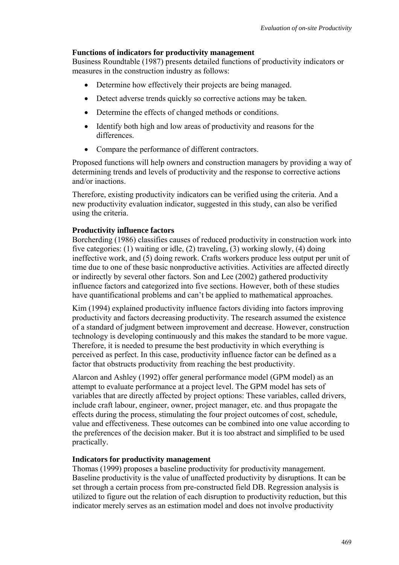### **Functions of indicators for productivity management**

Business Roundtable (1987) presents detailed functions of productivity indicators or measures in the construction industry as follows:

- Determine how effectively their projects are being managed.
- Detect adverse trends quickly so corrective actions may be taken.
- Determine the effects of changed methods or conditions.
- Identify both high and low areas of productivity and reasons for the differences.
- Compare the performance of different contractors.

Proposed functions will help owners and construction managers by providing a way of determining trends and levels of productivity and the response to corrective actions and/or inactions.

Therefore, existing productivity indicators can be verified using the criteria. And a new productivity evaluation indicator, suggested in this study, can also be verified using the criteria.

#### **Productivity influence factors**

Borcherding (1986) classifies causes of reduced productivity in construction work into five categories: (1) waiting or idle, (2) traveling, (3) working slowly, (4) doing ineffective work, and (5) doing rework. Crafts workers produce less output per unit of time due to one of these basic nonproductive activities. Activities are affected directly or indirectly by several other factors. Son and Lee (2002) gathered productivity influence factors and categorized into five sections. However, both of these studies have quantificational problems and can't be applied to mathematical approaches.

Kim (1994) explained productivity influence factors dividing into factors improving productivity and factors decreasing productivity. The research assumed the existence of a standard of judgment between improvement and decrease. However, construction technology is developing continuously and this makes the standard to be more vague. Therefore, it is needed to presume the best productivity in which everything is perceived as perfect. In this case, productivity influence factor can be defined as a factor that obstructs productivity from reaching the best productivity.

Alarcon and Ashley (1992) offer general performance model (GPM model) as an attempt to evaluate performance at a project level. The GPM model has sets of variables that are directly affected by project options: These variables, called drivers, include craft labour, engineer, owner, project manager, etc. and thus propagate the effects during the process, stimulating the four project outcomes of cost, schedule, value and effectiveness. These outcomes can be combined into one value according to the preferences of the decision maker. But it is too abstract and simplified to be used practically.

#### **Indicators for productivity management**

Thomas (1999) proposes a baseline productivity for productivity management. Baseline productivity is the value of unaffected productivity by disruptions. It can be set through a certain process from pre-constructed field DB. Regression analysis is utilized to figure out the relation of each disruption to productivity reduction, but this indicator merely serves as an estimation model and does not involve productivity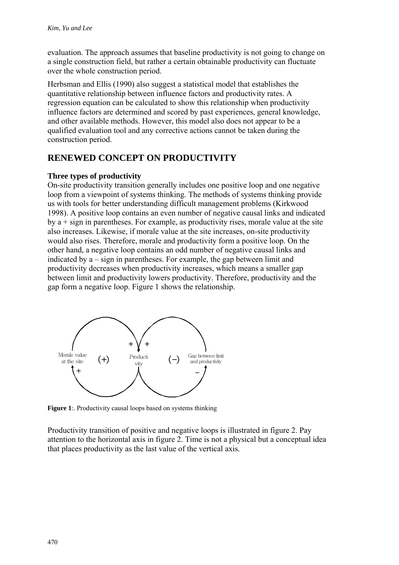evaluation. The approach assumes that baseline productivity is not going to change on a single construction field, but rather a certain obtainable productivity can fluctuate over the whole construction period.

Herbsman and Ellis (1990) also suggest a statistical model that establishes the quantitative relationship between influence factors and productivity rates. A regression equation can be calculated to show this relationship when productivity influence factors are determined and scored by past experiences, general knowledge, and other available methods. However, this model also does not appear to be a qualified evaluation tool and any corrective actions cannot be taken during the construction period.

# **RENEWED CONCEPT ON PRODUCTIVITY**

#### **Three types of productivity**

On-site productivity transition generally includes one positive loop and one negative loop from a viewpoint of systems thinking. The methods of systems thinking provide us with tools for better understanding difficult management problems (Kirkwood 1998). A positive loop contains an even number of negative causal links and indicated by  $a + sign$  in parentheses. For example, as productivity rises, morale value at the site also increases. Likewise, if morale value at the site increases, on-site productivity would also rises. Therefore, morale and productivity form a positive loop. On the other hand, a negative loop contains an odd number of negative causal links and indicated by a – sign in parentheses. For example, the gap between limit and productivity decreases when productivity increases, which means a smaller gap between limit and productivity lowers productivity. Therefore, productivity and the gap form a negative loop. Figure 1 shows the relationship.



**Figure 1**: Productivity causal loops based on systems thinking

Productivity transition of positive and negative loops is illustrated in figure 2. Pay attention to the horizontal axis in figure 2. Time is not a physical but a conceptual idea that places productivity as the last value of the vertical axis.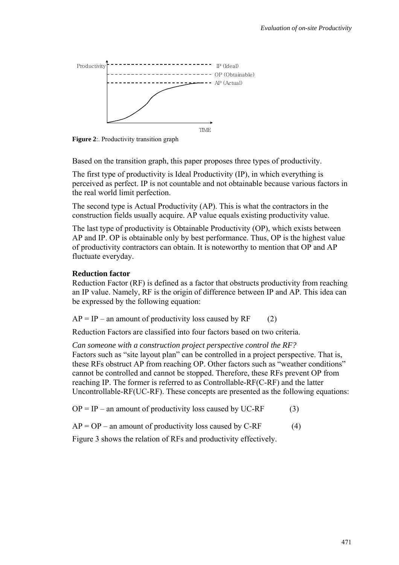

**Figure 2**: Productivity transition graph

Based on the transition graph, this paper proposes three types of productivity.

The first type of productivity is Ideal Productivity (IP), in which everything is perceived as perfect. IP is not countable and not obtainable because various factors in the real world limit perfection.

The second type is Actual Productivity (AP). This is what the contractors in the construction fields usually acquire. AP value equals existing productivity value.

The last type of productivity is Obtainable Productivity (OP), which exists between AP and IP. OP is obtainable only by best performance. Thus, OP is the highest value of productivity contractors can obtain. It is noteworthy to mention that OP and AP fluctuate everyday.

#### **Reduction factor**

Reduction Factor (RF) is defined as a factor that obstructs productivity from reaching an IP value. Namely, RF is the origin of difference between IP and AP. This idea can be expressed by the following equation:

 $AP = IP - an amount of productivity loss caused by RF$  (2)

Reduction Factors are classified into four factors based on two criteria.

*Can someone with a construction project perspective control the RF?*  Factors such as "site layout plan" can be controlled in a project perspective. That is, these RFs obstruct AP from reaching OP. Other factors such as "weather conditions" cannot be controlled and cannot be stopped. Therefore, these RFs prevent OP from reaching IP. The former is referred to as Controllable-RF(C-RF) and the latter Uncontrollable-RF(UC-RF). These concepts are presented as the following equations:

 $OP = IP - an amount of productivity loss caused by UC-RF$  (3)

 $AP = OP -$  an amount of productivity loss caused by C-RF (4)

Figure 3 shows the relation of RFs and productivity effectively.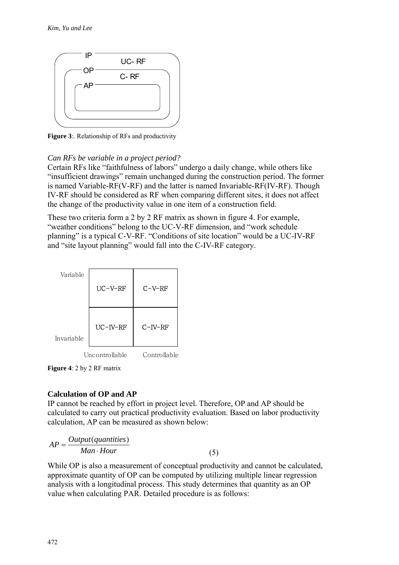

**Figure 3**:. Relationship of RFs and productivity

## *Can RFs be variable in a project period?*

Certain RFs like "faithfulness of labors" undergo a daily change, while others like "insufficient drawings" remain unchanged during the construction period. The former is named Variable-RF(V-RF) and the latter is named Invariable-RF(IV-RF). Though IV-RF should be considered as RF when comparing different sites, it does not affect the change of the productivity value in one item of a construction field.

These two criteria form a 2 by 2 RF matrix as shown in figure 4. For example, "weather conditions" belong to the UC-V-RF dimension, and "work schedule planning" is a typical C-V-RF. "Conditions of site location" would be a UC-IV-RF and "site layout planning" would fall into the C-IV-RF category.



**Figure 4**: 2 by 2 RF matrix

## **Calculation of OP and AP**

IP cannot be reached by effort in project level. Therefore, OP and AP should be calculated to carry out practical productivity evaluation. Based on labor productivity calculation, AP can be measured as shown below:

$$
AP = \frac{Output(quantities)}{Man \cdot Hour}
$$
 (5)

While OP is also a measurement of conceptual productivity and cannot be calculated, approximate quantity of OP can be computed by utilizing multiple linear regression analysis with a longitudinal process. This study determines that quantity as an OP value when calculating PAR. Detailed procedure is as follows: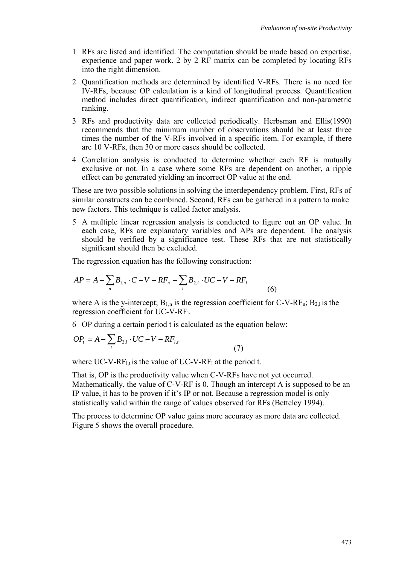- 1 RFs are listed and identified. The computation should be made based on expertise, experience and paper work. 2 by 2 RF matrix can be completed by locating RFs into the right dimension.
- 2 Quantification methods are determined by identified V-RFs. There is no need for IV-RFs, because OP calculation is a kind of longitudinal process. Quantification method includes direct quantification, indirect quantification and non-parametric ranking.
- 3 RFs and productivity data are collected periodically. Herbsman and Ellis(1990) recommends that the minimum number of observations should be at least three times the number of the V-RFs involved in a specific item. For example, if there are 10 V-RFs, then 30 or more cases should be collected.
- 4 Correlation analysis is conducted to determine whether each RF is mutually exclusive or not. In a case where some RFs are dependent on another, a ripple effect can be generated yielding an incorrect OP value at the end.

These are two possible solutions in solving the interdependency problem. First, RFs of similar constructs can be combined. Second, RFs can be gathered in a pattern to make new factors. This technique is called factor analysis.

5 A multiple linear regression analysis is conducted to figure out an OP value. In each case, RFs are explanatory variables and APs are dependent. The analysis should be verified by a significance test. These RFs that are not statistically significant should then be excluded.

The regression equation has the following construction:

$$
AP = A - \sum_{n} B_{1,n} \cdot C - V - RF_n - \sum_{l} B_{2,l} \cdot UC - V - RF_l
$$
\n(6)

where A is the y-intercept;  $B_{1n}$  is the regression coefficient for C-V-RF<sub>n</sub>;  $B_{21}$  is the regression coefficient for UC-V-RFl.

6 OP during a certain period t is calculated as the equation below:

$$
OP_{t} = A - \sum_{l} B_{2,l} \cdot UC - V - RF_{l,t}
$$
\n(7)

where UC-V-RF<sub>l,t</sub> is the value of UC-V-RF<sub>l</sub> at the period t.

That is, OP is the productivity value when C-V-RFs have not yet occurred. Mathematically, the value of C-V-RF is 0. Though an intercept A is supposed to be an IP value, it has to be proven if it's IP or not. Because a regression model is only statistically valid within the range of values observed for RFs (Betteley 1994).

The process to determine OP value gains more accuracy as more data are collected. Figure 5 shows the overall procedure.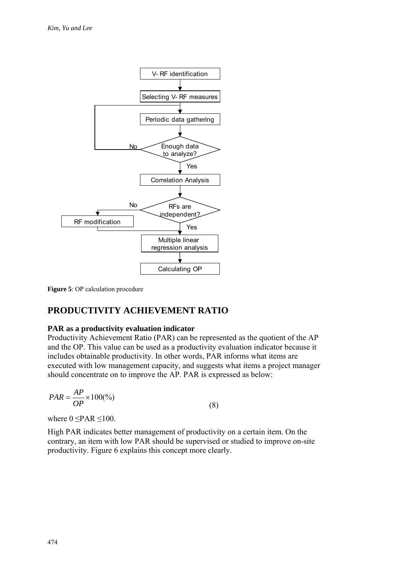

**Figure 5**: OP calculation procedure

# **PRODUCTIVITY ACHIEVEMENT RATIO**

#### **PAR as a productivity evaluation indicator**

Productivity Achievement Ratio (PAR) can be represented as the quotient of the AP and the OP. This value can be used as a productivity evaluation indicator because it includes obtainable productivity. In other words, PAR informs what items are executed with low management capacity, and suggests what items a project manager should concentrate on to improve the AP. PAR is expressed as below:

$$
PAR = \frac{AP}{OP} \times 100\frac{\%}{9}
$$
 (8)

where  $0 \leq PAR \leq 100$ .

High PAR indicates better management of productivity on a certain item. On the contrary, an item with low PAR should be supervised or studied to improve on-site productivity. Figure 6 explains this concept more clearly.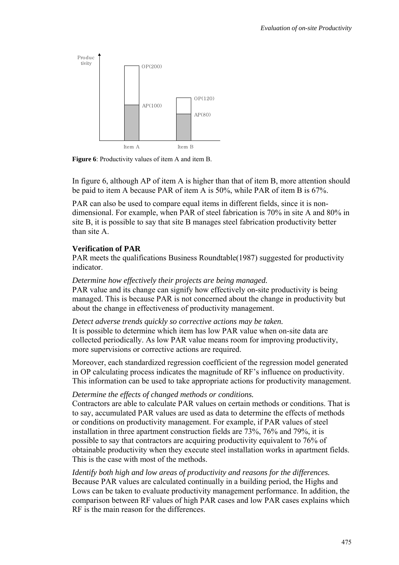

**Figure 6**: Productivity values of item A and item B.

In figure 6, although AP of item A is higher than that of item B, more attention should be paid to item A because PAR of item A is 50%, while PAR of item B is 67%.

PAR can also be used to compare equal items in different fields, since it is nondimensional. For example, when PAR of steel fabrication is 70% in site A and 80% in site B, it is possible to say that site B manages steel fabrication productivity better than site A.

#### **Verification of PAR**

PAR meets the qualifications Business Roundtable(1987) suggested for productivity indicator.

#### *Determine how effectively their projects are being managed.*

PAR value and its change can signify how effectively on-site productivity is being managed. This is because PAR is not concerned about the change in productivity but about the change in effectiveness of productivity management.

#### *Detect adverse trends quickly so corrective actions may be taken.*

It is possible to determine which item has low PAR value when on-site data are collected periodically. As low PAR value means room for improving productivity, more supervisions or corrective actions are required.

Moreover, each standardized regression coefficient of the regression model generated in OP calculating process indicates the magnitude of RF's influence on productivity. This information can be used to take appropriate actions for productivity management.

## *Determine the effects of changed methods or conditions.*

Contractors are able to calculate PAR values on certain methods or conditions. That is to say, accumulated PAR values are used as data to determine the effects of methods or conditions on productivity management. For example, if PAR values of steel installation in three apartment construction fields are 73%, 76% and 79%, it is possible to say that contractors are acquiring productivity equivalent to 76% of obtainable productivity when they execute steel installation works in apartment fields. This is the case with most of the methods.

*Identify both high and low areas of productivity and reasons for the differences.*  Because PAR values are calculated continually in a building period, the Highs and Lows can be taken to evaluate productivity management performance. In addition, the comparison between RF values of high PAR cases and low PAR cases explains which RF is the main reason for the differences.